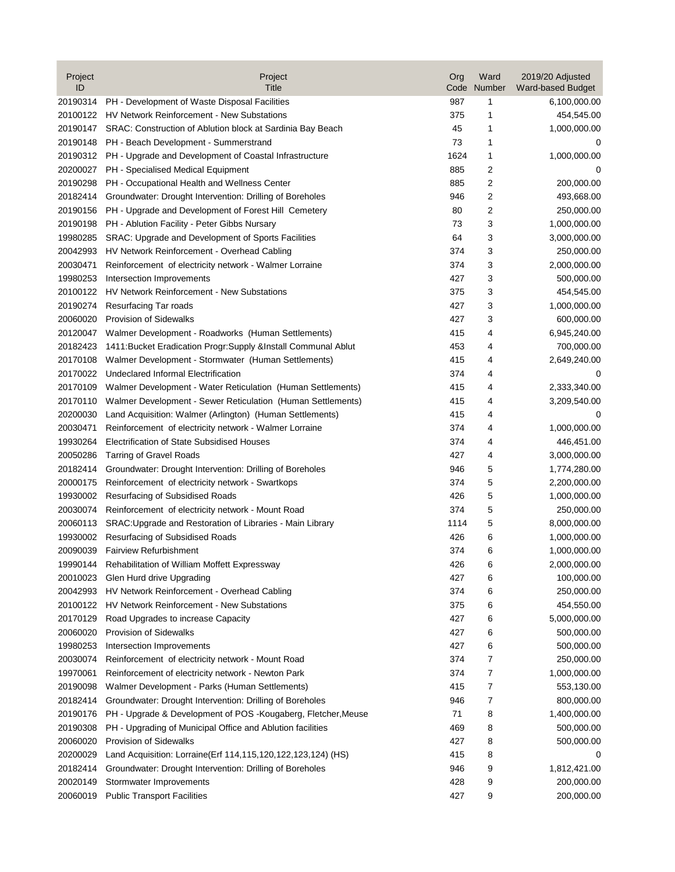| Project<br>ID | Project<br>Title                                                   | Org<br>Code | Ward<br>Number | 2019/20 Adjusted<br>Ward-based Budget |
|---------------|--------------------------------------------------------------------|-------------|----------------|---------------------------------------|
| 20190314      | PH - Development of Waste Disposal Facilities                      | 987         | 1              | 6,100,000.00                          |
| 20100122      | HV Network Reinforcement - New Substations                         | 375         | 1              | 454,545.00                            |
| 20190147      | SRAC: Construction of Ablution block at Sardinia Bay Beach         | 45          | 1              | 1,000,000.00                          |
| 20190148      | PH - Beach Development - Summerstrand                              | 73          | 1              | 0                                     |
|               | 20190312 PH - Upgrade and Development of Coastal Infrastructure    | 1624        | 1              | 1,000,000.00                          |
| 20200027      | PH - Specialised Medical Equipment                                 | 885         | 2              | 0                                     |
| 20190298      | PH - Occupational Health and Wellness Center                       | 885         | 2              | 200,000.00                            |
| 20182414      | Groundwater: Drought Intervention: Drilling of Boreholes           | 946         | 2              | 493,668.00                            |
| 20190156      | PH - Upgrade and Development of Forest Hill Cemetery               | 80          | 2              | 250,000.00                            |
| 20190198      | PH - Ablution Facility - Peter Gibbs Nursary                       | 73          | 3              | 1,000,000.00                          |
| 19980285      | SRAC: Upgrade and Development of Sports Facilities                 | 64          | 3              | 3,000,000.00                          |
| 20042993      | HV Network Reinforcement - Overhead Cabling                        | 374         | 3              | 250,000.00                            |
| 20030471      | Reinforcement of electricity network - Walmer Lorraine             | 374         | 3              | 2,000,000.00                          |
| 19980253      | Intersection Improvements                                          | 427         | 3              | 500,000.00                            |
| 20100122      | HV Network Reinforcement - New Substations                         | 375         | 3              | 454,545.00                            |
| 20190274      | Resurfacing Tar roads                                              | 427         | 3              | 1,000,000.00                          |
| 20060020      | <b>Provision of Sidewalks</b>                                      | 427         | 3              | 600,000.00                            |
| 20120047      | Walmer Development - Roadworks (Human Settlements)                 | 415         | 4              | 6,945,240.00                          |
| 20182423      | 1411: Bucket Eradication Progr: Supply & Install Communal Ablut    | 453         | 4              | 700,000.00                            |
| 20170108      | Walmer Development - Stormwater (Human Settlements)                | 415         | 4              | 2,649,240.00                          |
| 20170022      | Undeclared Informal Electrification                                | 374         | 4              | 0                                     |
| 20170109      | Walmer Development - Water Reticulation (Human Settlements)        | 415         | 4              | 2,333,340.00                          |
| 20170110      | Walmer Development - Sewer Reticulation (Human Settlements)        | 415         | 4              | 3,209,540.00                          |
| 20200030      | Land Acquisition: Walmer (Arlington) (Human Settlements)           | 415         | 4              | 0                                     |
| 20030471      | Reinforcement of electricity network - Walmer Lorraine             | 374         | 4              | 1,000,000.00                          |
| 19930264      | <b>Electrification of State Subsidised Houses</b>                  | 374         | 4              | 446,451.00                            |
| 20050286      | <b>Tarring of Gravel Roads</b>                                     | 427         | 4              | 3,000,000.00                          |
| 20182414      | Groundwater: Drought Intervention: Drilling of Boreholes           | 946         | 5              | 1,774,280.00                          |
| 20000175      | Reinforcement of electricity network - Swartkops                   | 374         | 5              | 2,200,000.00                          |
| 19930002      | Resurfacing of Subsidised Roads                                    | 426         | 5              | 1,000,000.00                          |
| 20030074      | Reinforcement of electricity network - Mount Road                  | 374         | 5              | 250,000.00                            |
| 20060113      | SRAC: Upgrade and Restoration of Libraries - Main Library          | 1114        | 5              | 8,000,000.00                          |
| 19930002      | Resurfacing of Subsidised Roads                                    | 426         | 6              | 1,000,000.00                          |
| 20090039      | <b>Fairview Refurbishment</b>                                      | 374         | 6              | 1,000,000.00                          |
| 19990144      | Rehabilitation of William Moffett Expressway                       | 426         | 6              | 2,000,000.00                          |
| 20010023      | Glen Hurd drive Upgrading                                          | 427         | 6              | 100,000.00                            |
| 20042993      | HV Network Reinforcement - Overhead Cabling                        | 374         | 6              | 250,000.00                            |
| 20100122      | HV Network Reinforcement - New Substations                         | 375         | 6              | 454,550.00                            |
| 20170129      | Road Upgrades to increase Capacity                                 | 427         | 6              | 5,000,000.00                          |
| 20060020      | Provision of Sidewalks                                             | 427         | 6              | 500,000.00                            |
| 19980253      | Intersection Improvements                                          | 427         | 6              | 500,000.00                            |
| 20030074      | Reinforcement of electricity network - Mount Road                  | 374         | 7              | 250,000.00                            |
| 19970061      | Reinforcement of electricity network - Newton Park                 | 374         | 7              | 1,000,000.00                          |
| 20190098      | Walmer Development - Parks (Human Settlements)                     | 415         | 7              | 553,130.00                            |
| 20182414      | Groundwater: Drought Intervention: Drilling of Boreholes           | 946         | 7              | 800,000.00                            |
| 20190176      | PH - Upgrade & Development of POS - Kougaberg, Fletcher, Meuse     | 71          | 8              | 1,400,000.00                          |
| 20190308      | PH - Upgrading of Municipal Office and Ablution facilities         | 469         | 8              | 500,000.00                            |
| 20060020      | Provision of Sidewalks                                             | 427         | 8              | 500,000.00                            |
| 20200029      | Land Acquisition: Lorraine (Erf 114, 115, 120, 122, 123, 124) (HS) | 415         | 8              | 0                                     |
| 20182414      | Groundwater: Drought Intervention: Drilling of Boreholes           | 946         | 9              | 1,812,421.00                          |
| 20020149      | Stormwater Improvements                                            | 428         | 9              | 200,000.00                            |
| 20060019      | <b>Public Transport Facilities</b>                                 | 427         | 9              | 200,000.00                            |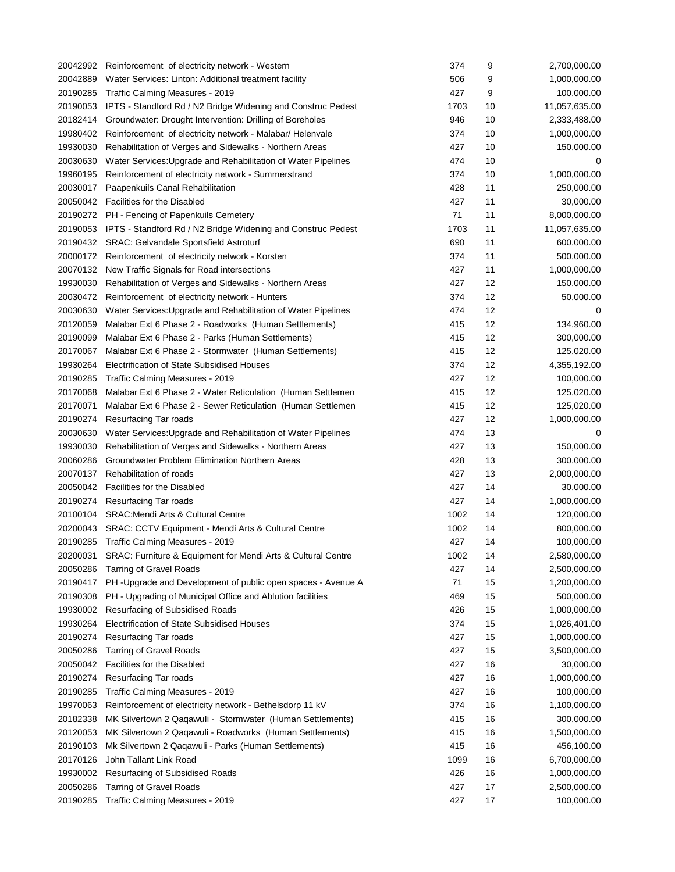| 20042992 | Reinforcement of electricity network - Western                        | 374        | 9        | 2,700,000.00  |
|----------|-----------------------------------------------------------------------|------------|----------|---------------|
| 20042889 | Water Services: Linton: Additional treatment facility                 | 506        | 9        | 1,000,000.00  |
| 20190285 | Traffic Calming Measures - 2019                                       | 427        | 9        | 100,000.00    |
| 20190053 | IPTS - Standford Rd / N2 Bridge Widening and Construc Pedest          | 1703       | 10       | 11,057,635.00 |
| 20182414 | Groundwater: Drought Intervention: Drilling of Boreholes              | 946        | 10       | 2,333,488.00  |
| 19980402 | Reinforcement of electricity network - Malabar/ Helenvale             | 374        | 10       | 1,000,000.00  |
| 19930030 | Rehabilitation of Verges and Sidewalks - Northern Areas               | 427        | 10       | 150,000.00    |
| 20030630 | Water Services: Upgrade and Rehabilitation of Water Pipelines         | 474        | 10       | 0             |
| 19960195 | Reinforcement of electricity network - Summerstrand                   | 374        | 10       | 1,000,000.00  |
| 20030017 | Paapenkuils Canal Rehabilitation                                      | 428        | 11       | 250,000.00    |
|          | 20050042 Facilities for the Disabled                                  | 427        | 11       | 30,000.00     |
|          | 20190272 PH - Fencing of Papenkuils Cemetery                          | 71         | 11       | 8,000,000.00  |
|          | 20190053 IPTS - Standford Rd / N2 Bridge Widening and Construc Pedest | 1703       | 11       | 11,057,635.00 |
|          | 20190432 SRAC: Gelvandale Sportsfield Astroturf                       | 690        | 11       | 600,000.00    |
|          | 20000172 Reinforcement of electricity network - Korsten               | 374        | 11       | 500,000.00    |
|          | 20070132 New Traffic Signals for Road intersections                   | 427        | 11       | 1,000,000.00  |
| 19930030 | Rehabilitation of Verges and Sidewalks - Northern Areas               | 427        | 12       | 150,000.00    |
| 20030472 | Reinforcement of electricity network - Hunters                        | 374        | 12       | 50,000.00     |
| 20030630 | Water Services: Upgrade and Rehabilitation of Water Pipelines         | 474        | 12       | 0             |
| 20120059 | Malabar Ext 6 Phase 2 - Roadworks (Human Settlements)                 | 415        | 12       | 134,960.00    |
| 20190099 | Malabar Ext 6 Phase 2 - Parks (Human Settlements)                     | 415        | 12       | 300,000.00    |
| 20170067 | Malabar Ext 6 Phase 2 - Stormwater (Human Settlements)                | 415        | 12       | 125,020.00    |
| 19930264 | Electrification of State Subsidised Houses                            | 374        | 12       | 4,355,192.00  |
| 20190285 | Traffic Calming Measures - 2019                                       | 427        | 12       | 100,000.00    |
| 20170068 | Malabar Ext 6 Phase 2 - Water Reticulation (Human Settlemen           | 415        | 12       | 125,020.00    |
| 20170071 | Malabar Ext 6 Phase 2 - Sewer Reticulation (Human Settlemen           | 415        | 12       | 125,020.00    |
| 20190274 | Resurfacing Tar roads                                                 | 427        | 12       | 1,000,000.00  |
| 20030630 | Water Services: Upgrade and Rehabilitation of Water Pipelines         | 474        | 13       | 0             |
| 19930030 | Rehabilitation of Verges and Sidewalks - Northern Areas               | 427        | 13       | 150,000.00    |
| 20060286 | Groundwater Problem Elimination Northern Areas                        | 428        | 13       | 300,000.00    |
| 20070137 | Rehabilitation of roads                                               | 427        | 13       | 2,000,000.00  |
| 20050042 | <b>Facilities for the Disabled</b>                                    | 427        | 14       | 30,000.00     |
| 20190274 | Resurfacing Tar roads                                                 | 427        | 14       | 1,000,000.00  |
| 20100104 | <b>SRAC: Mendi Arts &amp; Cultural Centre</b>                         | 1002       | 14       | 120,000.00    |
| 20200043 | SRAC: CCTV Equipment - Mendi Arts & Cultural Centre                   | 1002       | 14       | 800,000.00    |
|          | 20190285 Traffic Calming Measures - 2019                              | 427        | 14       | 100,000.00    |
| 20200031 | SRAC: Furniture & Equipment for Mendi Arts & Cultural Centre          | 1002       | 14       | 2,580,000.00  |
| 20050286 | <b>Tarring of Gravel Roads</b>                                        | 427        | 14       | 2,500,000.00  |
| 20190417 | PH-Upgrade and Development of public open spaces - Avenue A           | 71         | 15       | 1,200,000.00  |
| 20190308 | PH - Upgrading of Municipal Office and Ablution facilities            | 469        | 15       | 500,000.00    |
| 19930002 | Resurfacing of Subsidised Roads                                       | 426        | 15       | 1,000,000.00  |
| 19930264 | Electrification of State Subsidised Houses                            | 374        | 15       | 1,026,401.00  |
| 20190274 | Resurfacing Tar roads                                                 | 427        | 15       | 1,000,000.00  |
| 20050286 | <b>Tarring of Gravel Roads</b>                                        | 427        | 15       | 3,500,000.00  |
| 20050042 | Facilities for the Disabled                                           | 427        | 16       | 30,000.00     |
| 20190274 | Resurfacing Tar roads                                                 | 427        | 16       | 1,000,000.00  |
| 20190285 | Traffic Calming Measures - 2019                                       | 427        | 16       | 100,000.00    |
|          |                                                                       |            |          |               |
| 19970063 | Reinforcement of electricity network - Bethelsdorp 11 kV              | 374<br>415 | 16<br>16 | 1,100,000.00  |
| 20182338 | MK Silvertown 2 Qaqawuli - Stormwater (Human Settlements)             |            |          | 300,000.00    |
| 20120053 | MK Silvertown 2 Qaqawuli - Roadworks (Human Settlements)              | 415        | 16       | 1,500,000.00  |
| 20190103 | Mk Silvertown 2 Qaqawuli - Parks (Human Settlements)                  | 415        | 16       | 456,100.00    |
| 20170126 | John Tallant Link Road                                                | 1099       | 16       | 6,700,000.00  |
| 19930002 | Resurfacing of Subsidised Roads                                       | 426        | 16       | 1,000,000.00  |
| 20050286 | <b>Tarring of Gravel Roads</b>                                        | 427        | 17       | 2,500,000.00  |
| 20190285 | Traffic Calming Measures - 2019                                       | 427        | 17       | 100,000.00    |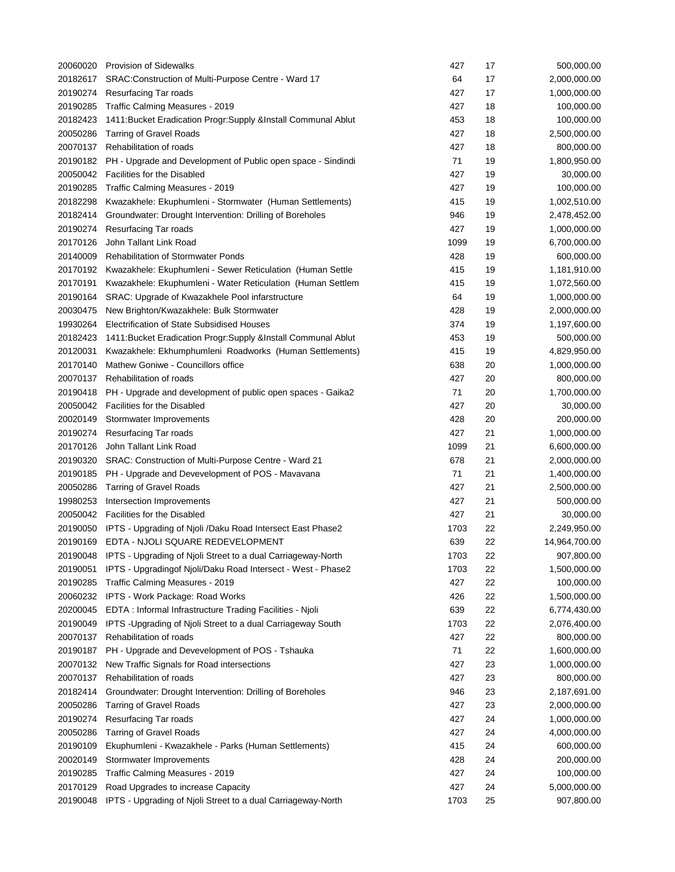| 20060020 | <b>Provision of Sidewalks</b>                                                   | 427  | 17 | 500,000.00               |
|----------|---------------------------------------------------------------------------------|------|----|--------------------------|
| 20182617 | SRAC: Construction of Multi-Purpose Centre - Ward 17                            | 64   | 17 | 2,000,000.00             |
| 20190274 | <b>Resurfacing Tar roads</b>                                                    | 427  | 17 | 1,000,000.00             |
| 20190285 | Traffic Calming Measures - 2019                                                 | 427  | 18 | 100,000.00               |
| 20182423 | 1411: Bucket Eradication Progr: Supply & Install Communal Ablut                 | 453  | 18 | 100,000.00               |
| 20050286 | <b>Tarring of Gravel Roads</b>                                                  | 427  | 18 | 2,500,000.00             |
| 20070137 | Rehabilitation of roads                                                         | 427  | 18 | 800,000.00               |
| 20190182 | PH - Upgrade and Development of Public open space - Sindindi                    | 71   | 19 | 1,800,950.00             |
| 20050042 | <b>Facilities for the Disabled</b>                                              | 427  | 19 | 30,000.00                |
| 20190285 | Traffic Calming Measures - 2019                                                 | 427  | 19 | 100,000.00               |
| 20182298 | Kwazakhele: Ekuphumleni - Stormwater (Human Settlements)                        | 415  | 19 | 1,002,510.00             |
| 20182414 | Groundwater: Drought Intervention: Drilling of Boreholes                        | 946  | 19 | 2,478,452.00             |
| 20190274 | <b>Resurfacing Tar roads</b>                                                    | 427  | 19 | 1,000,000.00             |
| 20170126 | John Tallant Link Road                                                          | 1099 | 19 | 6,700,000.00             |
| 20140009 | <b>Rehabilitation of Stormwater Ponds</b>                                       | 428  | 19 | 600,000.00               |
| 20170192 | Kwazakhele: Ekuphumleni - Sewer Reticulation (Human Settle                      | 415  | 19 | 1,181,910.00             |
| 20170191 | Kwazakhele: Ekuphumleni - Water Reticulation (Human Settlem                     | 415  | 19 | 1,072,560.00             |
| 20190164 | SRAC: Upgrade of Kwazakhele Pool infarstructure                                 | 64   | 19 | 1,000,000.00             |
| 20030475 | New Brighton/Kwazakhele: Bulk Stormwater                                        | 428  | 19 | 2,000,000.00             |
| 19930264 | Electrification of State Subsidised Houses                                      | 374  | 19 | 1,197,600.00             |
| 20182423 | 1411: Bucket Eradication Progr: Supply & Install Communal Ablut                 | 453  | 19 | 500,000.00               |
| 20120031 | Kwazakhele: Ekhumphumleni Roadworks (Human Settlements)                         | 415  | 19 | 4,829,950.00             |
| 20170140 | Mathew Goniwe - Councillors office                                              | 638  | 20 | 1,000,000.00             |
| 20070137 | Rehabilitation of roads                                                         | 427  | 20 | 800,000.00               |
| 20190418 | PH - Upgrade and development of public open spaces - Gaika2                     | 71   | 20 | 1,700,000.00             |
| 20050042 | <b>Facilities for the Disabled</b>                                              | 427  | 20 | 30,000.00                |
| 20020149 | Stormwater Improvements                                                         | 428  | 20 | 200,000.00               |
| 20190274 | Resurfacing Tar roads                                                           | 427  | 21 | 1,000,000.00             |
| 20170126 | John Tallant Link Road                                                          | 1099 | 21 | 6,600,000.00             |
| 20190320 | SRAC: Construction of Multi-Purpose Centre - Ward 21                            | 678  | 21 | 2,000,000.00             |
| 20190185 | PH - Upgrade and Devevelopment of POS - Mavavana                                | 71   | 21 | 1,400,000.00             |
| 20050286 | <b>Tarring of Gravel Roads</b>                                                  | 427  | 21 | 2,500,000.00             |
| 19980253 | Intersection Improvements                                                       | 427  | 21 | 500,000.00               |
|          | 20050042 Facilities for the Disabled                                            | 427  | 21 | 30,000.00                |
|          | 20190050 IPTS - Upgrading of Njoli /Daku Road Intersect East Phase2             | 1703 | 22 | 2,249,950.00             |
|          | 20190169 EDTA - NJOLI SQUARE REDEVELOPMENT                                      | 639  | 22 | 14,964,700.00            |
| 20190048 | IPTS - Upgrading of Njoli Street to a dual Carriageway-North                    | 1703 | 22 | 907,800.00               |
| 20190051 | IPTS - Upgradingof Njoli/Daku Road Intersect - West - Phase2                    | 1703 | 22 | 1,500,000.00             |
| 20190285 | Traffic Calming Measures - 2019                                                 | 427  | 22 | 100,000.00               |
| 20060232 | <b>IPTS - Work Package: Road Works</b>                                          | 426  | 22 | 1,500,000.00             |
| 20200045 | EDTA : Informal Infrastructure Trading Facilities - Njoli                       | 639  | 22 | 6,774,430.00             |
| 20190049 | IPTS - Upgrading of Njoli Street to a dual Carriageway South                    | 1703 | 22 | 2,076,400.00             |
| 20070137 | Rehabilitation of roads                                                         | 427  | 22 | 800,000.00               |
| 20190187 | PH - Upgrade and Devevelopment of POS - Tshauka                                 | 71   | 22 | 1,600,000.00             |
| 20070132 | New Traffic Signals for Road intersections                                      | 427  | 23 | 1,000,000.00             |
| 20070137 | Rehabilitation of roads                                                         | 427  | 23 | 800,000.00               |
| 20182414 | Groundwater: Drought Intervention: Drilling of Boreholes                        | 946  | 23 | 2,187,691.00             |
| 20050286 | <b>Tarring of Gravel Roads</b>                                                  | 427  | 23 | 2,000,000.00             |
| 20190274 | Resurfacing Tar roads                                                           | 427  | 24 | 1,000,000.00             |
| 20050286 | <b>Tarring of Gravel Roads</b>                                                  | 427  | 24 | 4,000,000.00             |
| 20190109 |                                                                                 | 415  | 24 |                          |
| 20020149 | Ekuphumleni - Kwazakhele - Parks (Human Settlements)<br>Stormwater Improvements | 428  | 24 | 600,000.00<br>200,000.00 |
| 20190285 | Traffic Calming Measures - 2019                                                 | 427  | 24 | 100,000.00               |
| 20170129 |                                                                                 | 427  | 24 |                          |
|          | Road Upgrades to increase Capacity                                              |      |    | 5,000,000.00             |
| 20190048 | IPTS - Upgrading of Njoli Street to a dual Carriageway-North                    | 1703 | 25 | 907,800.00               |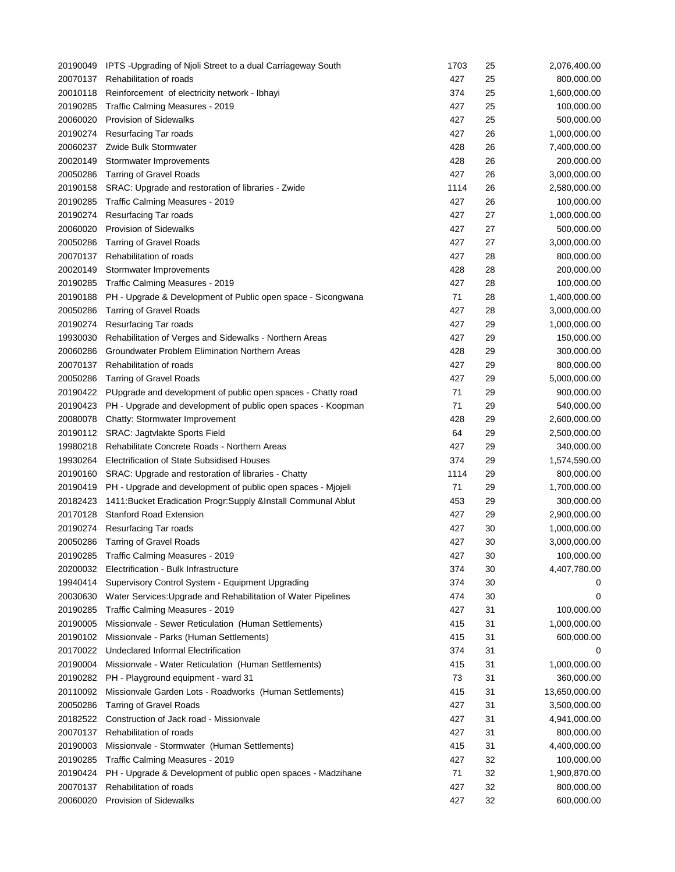|          | 20190049 IPTS - Upgrading of Njoli Street to a dual Carriageway South | 1703 | 25       | 2,076,400.00                 |
|----------|-----------------------------------------------------------------------|------|----------|------------------------------|
| 20070137 | Rehabilitation of roads                                               | 427  | 25       | 800,000.00                   |
| 20010118 | Reinforcement of electricity network - Ibhayi                         | 374  | 25       | 1,600,000.00                 |
| 20190285 | Traffic Calming Measures - 2019                                       | 427  | 25       | 100,000.00                   |
| 20060020 | <b>Provision of Sidewalks</b>                                         | 427  | 25       | 500,000.00                   |
| 20190274 | <b>Resurfacing Tar roads</b>                                          | 427  | 26       | 1,000,000.00                 |
| 20060237 | Zwide Bulk Stormwater                                                 | 428  | 26       | 7,400,000.00                 |
| 20020149 | Stormwater Improvements                                               | 428  | 26       | 200,000.00                   |
| 20050286 | <b>Tarring of Gravel Roads</b>                                        | 427  | 26       | 3,000,000.00                 |
| 20190158 | SRAC: Upgrade and restoration of libraries - Zwide                    | 1114 | 26       | 2,580,000.00                 |
| 20190285 | Traffic Calming Measures - 2019                                       | 427  | 26       | 100,000.00                   |
| 20190274 | Resurfacing Tar roads                                                 | 427  | 27       | 1,000,000.00                 |
| 20060020 | <b>Provision of Sidewalks</b>                                         | 427  | 27       | 500,000.00                   |
| 20050286 | <b>Tarring of Gravel Roads</b>                                        | 427  | 27       | 3,000,000.00                 |
| 20070137 | Rehabilitation of roads                                               | 427  | 28       | 800,000.00                   |
| 20020149 | Stormwater Improvements                                               | 428  | 28       | 200,000.00                   |
| 20190285 | Traffic Calming Measures - 2019                                       | 427  | 28       | 100,000.00                   |
| 20190188 | PH - Upgrade & Development of Public open space - Sicongwana          | 71   | 28       | 1,400,000.00                 |
| 20050286 | <b>Tarring of Gravel Roads</b>                                        | 427  | 28       | 3,000,000.00                 |
| 20190274 | <b>Resurfacing Tar roads</b>                                          | 427  | 29       | 1,000,000.00                 |
| 19930030 | Rehabilitation of Verges and Sidewalks - Northern Areas               | 427  | 29       | 150,000.00                   |
| 20060286 | Groundwater Problem Elimination Northern Areas                        | 428  | 29       | 300,000.00                   |
| 20070137 | Rehabilitation of roads                                               | 427  | 29       | 800,000.00                   |
| 20050286 | <b>Tarring of Gravel Roads</b>                                        | 427  | 29       | 5,000,000.00                 |
| 20190422 | PUpgrade and development of public open spaces - Chatty road          | 71   | 29       | 900,000.00                   |
| 20190423 | PH - Upgrade and development of public open spaces - Koopman          | 71   | 29       | 540,000.00                   |
| 20080078 | Chatty: Stormwater Improvement                                        | 428  | 29       | 2,600,000.00                 |
| 20190112 | SRAC: Jagtvlakte Sports Field                                         | 64   | 29       | 2,500,000.00                 |
| 19980218 | Rehabilitate Concrete Roads - Northern Areas                          | 427  | 29       | 340,000.00                   |
| 19930264 | Electrification of State Subsidised Houses                            | 374  | 29       | 1,574,590.00                 |
| 20190160 | SRAC: Upgrade and restoration of libraries - Chatty                   | 1114 | 29       | 800,000.00                   |
| 20190419 | PH - Upgrade and development of public open spaces - Mjojeli          | 71   | 29       | 1,700,000.00                 |
| 20182423 | 1411: Bucket Eradication Progr: Supply & Install Communal Ablut       | 453  | 29       | 300,000.00                   |
| 20170128 | <b>Stanford Road Extension</b>                                        | 427  | 29       | 2,900,000.00                 |
|          |                                                                       | 427  |          |                              |
| 20190274 | Resurfacing Tar roads                                                 | 427  | 30<br>30 | 1,000,000.00<br>3,000,000.00 |
|          | 20050286 Tarring of Gravel Roads                                      |      |          | 100,000.00                   |
| 20190285 | Traffic Calming Measures - 2019                                       | 427  | 30       |                              |
| 20200032 | Electrification - Bulk Infrastructure                                 | 374  | 30       | 4,407,780.00                 |
| 19940414 | Supervisory Control System - Equipment Upgrading                      | 374  | 30       | 0                            |
| 20030630 | Water Services: Upgrade and Rehabilitation of Water Pipelines         | 474  | 30       | 0                            |
| 20190285 | Traffic Calming Measures - 2019                                       | 427  | 31       | 100,000.00                   |
| 20190005 | Missionvale - Sewer Reticulation (Human Settlements)                  | 415  | 31       | 1,000,000.00                 |
| 20190102 | Missionvale - Parks (Human Settlements)                               | 415  | 31       | 600,000.00                   |
| 20170022 | Undeclared Informal Electrification                                   | 374  | 31       | 0                            |
| 20190004 | Missionvale - Water Reticulation (Human Settlements)                  | 415  | 31       | 1,000,000.00                 |
| 20190282 | PH - Playground equipment - ward 31                                   | 73   | 31       | 360,000.00                   |
| 20110092 | Missionvale Garden Lots - Roadworks (Human Settlements)               | 415  | 31       | 13,650,000.00                |
| 20050286 | <b>Tarring of Gravel Roads</b>                                        | 427  | 31       | 3,500,000.00                 |
| 20182522 | Construction of Jack road - Missionvale                               | 427  | 31       | 4,941,000.00                 |
| 20070137 | Rehabilitation of roads                                               | 427  | 31       | 800,000.00                   |
| 20190003 | Missionvale - Stormwater (Human Settlements)                          | 415  | 31       | 4,400,000.00                 |
| 20190285 | Traffic Calming Measures - 2019                                       | 427  | 32       | 100,000.00                   |
| 20190424 | PH - Upgrade & Development of public open spaces - Madzihane          | 71   | 32       | 1,900,870.00                 |
| 20070137 | Rehabilitation of roads                                               | 427  | 32       | 800,000.00                   |
| 20060020 | <b>Provision of Sidewalks</b>                                         | 427  | 32       | 600,000.00                   |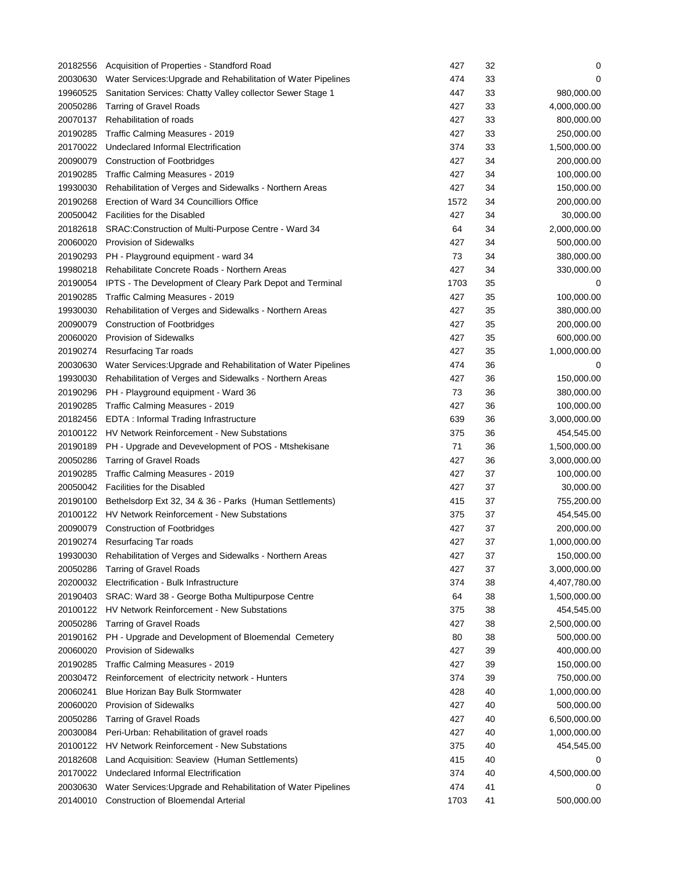| 20182556 | Acquisition of Properties - Standford Road                    | 427  | 32 | 0            |
|----------|---------------------------------------------------------------|------|----|--------------|
| 20030630 | Water Services: Upgrade and Rehabilitation of Water Pipelines | 474  | 33 | 0            |
| 19960525 | Sanitation Services: Chatty Valley collector Sewer Stage 1    | 447  | 33 | 980,000.00   |
| 20050286 | <b>Tarring of Gravel Roads</b>                                | 427  | 33 | 4,000,000.00 |
| 20070137 | Rehabilitation of roads                                       | 427  | 33 | 800,000.00   |
| 20190285 | Traffic Calming Measures - 2019                               | 427  | 33 | 250,000.00   |
| 20170022 | Undeclared Informal Electrification                           | 374  | 33 | 1,500,000.00 |
| 20090079 | <b>Construction of Footbridges</b>                            | 427  | 34 | 200,000.00   |
| 20190285 | Traffic Calming Measures - 2019                               | 427  | 34 | 100,000.00   |
| 19930030 | Rehabilitation of Verges and Sidewalks - Northern Areas       | 427  | 34 | 150,000.00   |
| 20190268 | Erection of Ward 34 Councilliors Office                       | 1572 | 34 | 200,000.00   |
| 20050042 | <b>Facilities for the Disabled</b>                            | 427  | 34 | 30,000.00    |
| 20182618 | SRAC: Construction of Multi-Purpose Centre - Ward 34          | 64   | 34 | 2,000,000.00 |
| 20060020 | <b>Provision of Sidewalks</b>                                 | 427  | 34 | 500,000.00   |
| 20190293 | PH - Playground equipment - ward 34                           | 73   | 34 | 380,000.00   |
| 19980218 | Rehabilitate Concrete Roads - Northern Areas                  | 427  | 34 | 330,000.00   |
| 20190054 | IPTS - The Development of Cleary Park Depot and Terminal      | 1703 | 35 | 0            |
| 20190285 | Traffic Calming Measures - 2019                               | 427  | 35 | 100,000.00   |
| 19930030 | Rehabilitation of Verges and Sidewalks - Northern Areas       | 427  | 35 | 380,000.00   |
| 20090079 | <b>Construction of Footbridges</b>                            | 427  | 35 | 200,000.00   |
| 20060020 | <b>Provision of Sidewalks</b>                                 | 427  | 35 | 600,000.00   |
| 20190274 | <b>Resurfacing Tar roads</b>                                  | 427  | 35 | 1,000,000.00 |
| 20030630 | Water Services: Upgrade and Rehabilitation of Water Pipelines | 474  | 36 | 0            |
| 19930030 | Rehabilitation of Verges and Sidewalks - Northern Areas       | 427  | 36 | 150,000.00   |
| 20190296 | PH - Playground equipment - Ward 36                           | 73   | 36 | 380,000.00   |
| 20190285 | Traffic Calming Measures - 2019                               | 427  | 36 | 100,000.00   |
| 20182456 | EDTA: Informal Trading Infrastructure                         | 639  | 36 | 3,000,000.00 |
| 20100122 | HV Network Reinforcement - New Substations                    | 375  | 36 | 454,545.00   |
| 20190189 | PH - Upgrade and Devevelopment of POS - Mtshekisane           | 71   | 36 | 1,500,000.00 |
| 20050286 | <b>Tarring of Gravel Roads</b>                                | 427  | 36 | 3,000,000.00 |
| 20190285 | Traffic Calming Measures - 2019                               | 427  | 37 | 100,000.00   |
|          | 20050042 Facilities for the Disabled                          | 427  | 37 | 30,000.00    |
| 20190100 | Bethelsdorp Ext 32, 34 & 36 - Parks (Human Settlements)       | 415  | 37 | 755,200.00   |
|          | 20100122 HV Network Reinforcement - New Substations           | 375  | 37 | 454,545.00   |
| 20090079 | <b>Construction of Footbridges</b>                            | 427  | 37 | 200,000.00   |
|          | 20190274 Resurfacing Tar roads                                | 427  | 37 | 1,000,000.00 |
| 19930030 | Rehabilitation of Verges and Sidewalks - Northern Areas       | 427  | 37 | 150,000.00   |
| 20050286 | <b>Tarring of Gravel Roads</b>                                | 427  | 37 | 3,000,000.00 |
| 20200032 | Electrification - Bulk Infrastructure                         | 374  | 38 | 4,407,780.00 |
| 20190403 | SRAC: Ward 38 - George Botha Multipurpose Centre              | 64   | 38 | 1,500,000.00 |
| 20100122 | <b>HV Network Reinforcement - New Substations</b>             | 375  | 38 | 454,545.00   |
| 20050286 | <b>Tarring of Gravel Roads</b>                                | 427  | 38 | 2,500,000.00 |
| 20190162 | PH - Upgrade and Development of Bloemendal Cemetery           | 80   | 38 | 500,000.00   |
| 20060020 | Provision of Sidewalks                                        | 427  | 39 | 400,000.00   |
| 20190285 | Traffic Calming Measures - 2019                               | 427  | 39 | 150,000.00   |
| 20030472 | Reinforcement of electricity network - Hunters                | 374  | 39 | 750,000.00   |
| 20060241 | Blue Horizan Bay Bulk Stormwater                              | 428  | 40 | 1,000,000.00 |
| 20060020 | Provision of Sidewalks                                        | 427  | 40 | 500,000.00   |
| 20050286 | <b>Tarring of Gravel Roads</b>                                | 427  | 40 | 6,500,000.00 |
| 20030084 | Peri-Urban: Rehabilitation of gravel roads                    | 427  | 40 | 1,000,000.00 |
| 20100122 | HV Network Reinforcement - New Substations                    | 375  | 40 | 454,545.00   |
| 20182608 | Land Acquisition: Seaview (Human Settlements)                 | 415  | 40 | 0            |
| 20170022 | Undeclared Informal Electrification                           | 374  | 40 | 4,500,000.00 |
| 20030630 | Water Services: Upgrade and Rehabilitation of Water Pipelines | 474  | 41 |              |
| 20140010 | <b>Construction of Bloemendal Arterial</b>                    | 1703 | 41 | 500,000.00   |
|          |                                                               |      |    |              |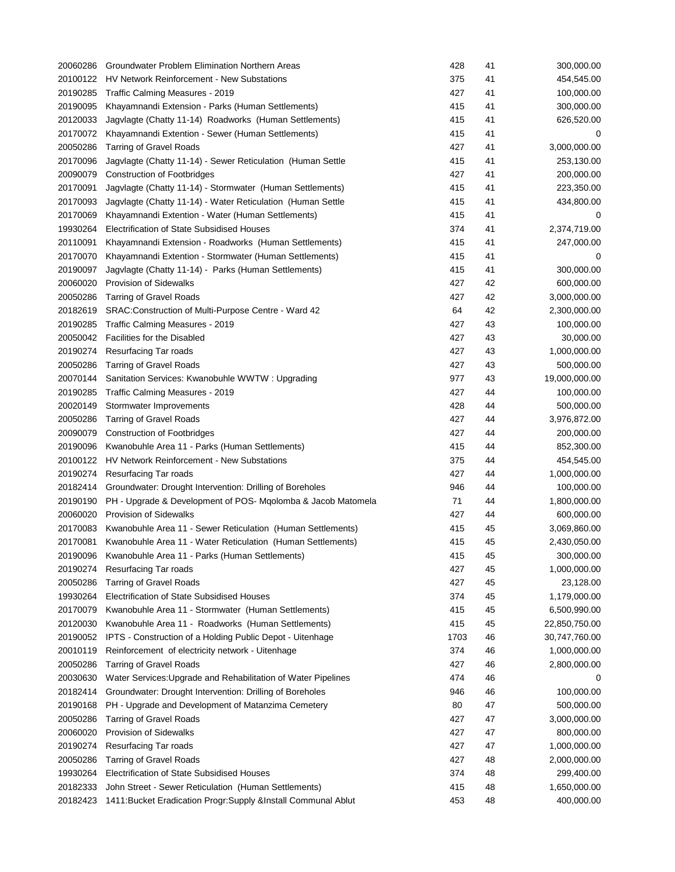| 20060286 | Groundwater Problem Elimination Northern Areas                  | 428  | 41 | 300,000.00    |
|----------|-----------------------------------------------------------------|------|----|---------------|
| 20100122 | HV Network Reinforcement - New Substations                      | 375  | 41 | 454,545.00    |
| 20190285 | Traffic Calming Measures - 2019                                 | 427  | 41 | 100,000.00    |
| 20190095 | Khayamnandi Extension - Parks (Human Settlements)               | 415  | 41 | 300,000.00    |
| 20120033 | Jagvlagte (Chatty 11-14) Roadworks (Human Settlements)          | 415  | 41 | 626,520.00    |
| 20170072 | Khayamnandi Extention - Sewer (Human Settlements)               | 415  | 41 | 0             |
| 20050286 | <b>Tarring of Gravel Roads</b>                                  | 427  | 41 | 3,000,000.00  |
| 20170096 | Jagvlagte (Chatty 11-14) - Sewer Reticulation (Human Settle     | 415  | 41 | 253,130.00    |
| 20090079 | <b>Construction of Footbridges</b>                              | 427  | 41 | 200,000.00    |
| 20170091 | Jagvlagte (Chatty 11-14) - Stormwater (Human Settlements)       | 415  | 41 | 223,350.00    |
| 20170093 | Jagvlagte (Chatty 11-14) - Water Reticulation (Human Settle     | 415  | 41 | 434,800.00    |
| 20170069 | Khayamnandi Extention - Water (Human Settlements)               | 415  | 41 | 0             |
| 19930264 | Electrification of State Subsidised Houses                      | 374  | 41 | 2,374,719.00  |
| 20110091 | Khayamnandi Extension - Roadworks (Human Settlements)           | 415  | 41 | 247,000.00    |
| 20170070 | Khayamnandi Extention - Stormwater (Human Settlements)          | 415  | 41 | 0             |
| 20190097 | Jagvlagte (Chatty 11-14) - Parks (Human Settlements)            | 415  | 41 | 300,000.00    |
| 20060020 | <b>Provision of Sidewalks</b>                                   | 427  | 42 | 600,000.00    |
| 20050286 | <b>Tarring of Gravel Roads</b>                                  | 427  | 42 | 3,000,000.00  |
| 20182619 | SRAC: Construction of Multi-Purpose Centre - Ward 42            | 64   | 42 | 2,300,000.00  |
| 20190285 | Traffic Calming Measures - 2019                                 | 427  | 43 | 100,000.00    |
| 20050042 | <b>Facilities for the Disabled</b>                              | 427  | 43 | 30,000.00     |
| 20190274 | <b>Resurfacing Tar roads</b>                                    | 427  | 43 | 1,000,000.00  |
| 20050286 | <b>Tarring of Gravel Roads</b>                                  | 427  | 43 | 500,000.00    |
| 20070144 | Sanitation Services: Kwanobuhle WWTW: Upgrading                 | 977  | 43 | 19,000,000.00 |
|          |                                                                 | 427  | 44 |               |
| 20190285 | Traffic Calming Measures - 2019                                 |      |    | 100,000.00    |
| 20020149 | Stormwater Improvements                                         | 428  | 44 | 500,000.00    |
| 20050286 | <b>Tarring of Gravel Roads</b>                                  | 427  | 44 | 3,976,872.00  |
| 20090079 | <b>Construction of Footbridges</b>                              | 427  | 44 | 200,000.00    |
| 20190096 | Kwanobuhle Area 11 - Parks (Human Settlements)                  | 415  | 44 | 852,300.00    |
| 20100122 | HV Network Reinforcement - New Substations                      | 375  | 44 | 454,545.00    |
| 20190274 | Resurfacing Tar roads                                           | 427  | 44 | 1,000,000.00  |
| 20182414 | Groundwater: Drought Intervention: Drilling of Boreholes        | 946  | 44 | 100,000.00    |
| 20190190 | PH - Upgrade & Development of POS- Mqolomba & Jacob Matomela    | 71   | 44 | 1,800,000.00  |
| 20060020 | <b>Provision of Sidewalks</b>                                   | 427  | 44 | 600,000.00    |
| 20170083 | Kwanobuhle Area 11 - Sewer Reticulation (Human Settlements)     | 415  | 45 | 3,069,860.00  |
| 20170081 | Kwanobuhle Area 11 - Water Reticulation (Human Settlements)     | 415  | 45 | 2,430,050.00  |
| 20190096 | Kwanobuhle Area 11 - Parks (Human Settlements)                  | 415  | 45 | 300,000.00    |
| 20190274 | Resurfacing Tar roads                                           | 427  | 45 | 1,000,000.00  |
| 20050286 | <b>Tarring of Gravel Roads</b>                                  | 427  | 45 | 23,128.00     |
| 19930264 | Electrification of State Subsidised Houses                      | 374  | 45 | 1,179,000.00  |
| 20170079 | Kwanobuhle Area 11 - Stormwater (Human Settlements)             | 415  | 45 | 6,500,990.00  |
| 20120030 | Kwanobuhle Area 11 - Roadworks (Human Settlements)              | 415  | 45 | 22,850,750.00 |
| 20190052 | IPTS - Construction of a Holding Public Depot - Uitenhage       | 1703 | 46 | 30,747,760.00 |
| 20010119 | Reinforcement of electricity network - Uitenhage                | 374  | 46 | 1,000,000.00  |
| 20050286 | <b>Tarring of Gravel Roads</b>                                  | 427  | 46 | 2,800,000.00  |
| 20030630 | Water Services: Upgrade and Rehabilitation of Water Pipelines   | 474  | 46 | 0             |
| 20182414 | Groundwater: Drought Intervention: Drilling of Boreholes        | 946  | 46 | 100,000.00    |
| 20190168 | PH - Upgrade and Development of Matanzima Cemetery              | 80   | 47 | 500,000.00    |
| 20050286 | <b>Tarring of Gravel Roads</b>                                  | 427  | 47 | 3,000,000.00  |
| 20060020 | Provision of Sidewalks                                          | 427  | 47 | 800,000.00    |
| 20190274 | Resurfacing Tar roads                                           | 427  | 47 | 1,000,000.00  |
| 20050286 | <b>Tarring of Gravel Roads</b>                                  | 427  | 48 | 2,000,000.00  |
| 19930264 | Electrification of State Subsidised Houses                      | 374  | 48 | 299,400.00    |
| 20182333 | John Street - Sewer Reticulation (Human Settlements)            | 415  | 48 | 1,650,000.00  |
| 20182423 | 1411: Bucket Eradication Progr: Supply & Install Communal Ablut | 453  | 48 | 400,000.00    |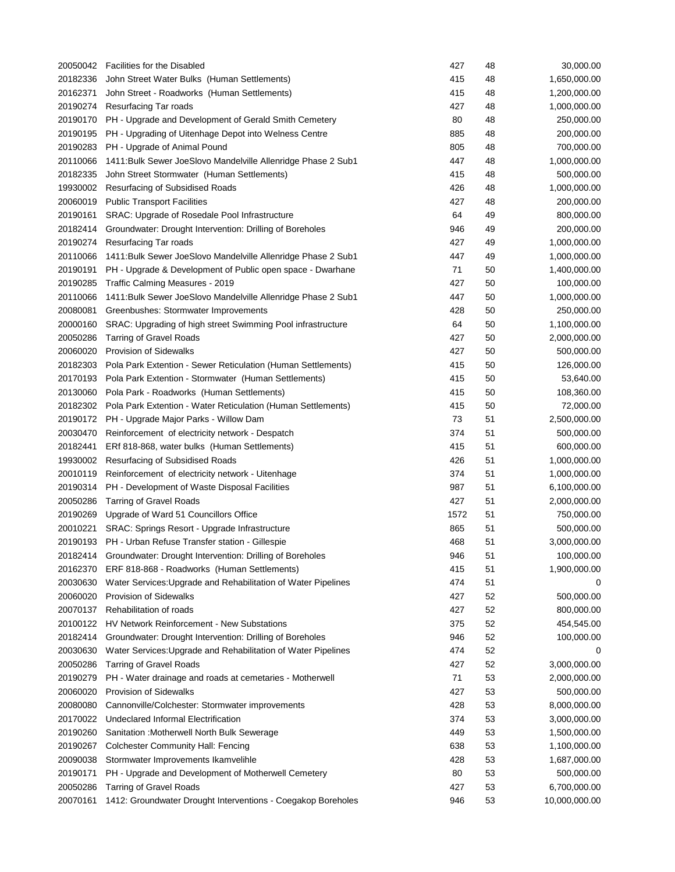| 20050042 | <b>Facilities for the Disabled</b>                            | 427  | 48 | 30,000.00     |
|----------|---------------------------------------------------------------|------|----|---------------|
| 20182336 | John Street Water Bulks (Human Settlements)                   | 415  | 48 | 1,650,000.00  |
| 20162371 | John Street - Roadworks (Human Settlements)                   | 415  | 48 | 1,200,000.00  |
| 20190274 | Resurfacing Tar roads                                         | 427  | 48 | 1,000,000.00  |
| 20190170 | PH - Upgrade and Development of Gerald Smith Cemetery         | 80   | 48 | 250,000.00    |
| 20190195 | PH - Upgrading of Uitenhage Depot into Welness Centre         | 885  | 48 | 200,000.00    |
| 20190283 | PH - Upgrade of Animal Pound                                  | 805  | 48 | 700,000.00    |
| 20110066 | 1411: Bulk Sewer JoeSlovo Mandelville Allenridge Phase 2 Sub1 | 447  | 48 | 1,000,000.00  |
| 20182335 | John Street Stormwater (Human Settlements)                    | 415  | 48 | 500,000.00    |
| 19930002 | Resurfacing of Subsidised Roads                               | 426  | 48 | 1,000,000.00  |
| 20060019 | <b>Public Transport Facilities</b>                            | 427  | 48 | 200,000.00    |
| 20190161 | SRAC: Upgrade of Rosedale Pool Infrastructure                 | 64   | 49 | 800,000.00    |
| 20182414 | Groundwater: Drought Intervention: Drilling of Boreholes      | 946  | 49 | 200,000.00    |
| 20190274 | Resurfacing Tar roads                                         | 427  | 49 | 1,000,000.00  |
| 20110066 | 1411: Bulk Sewer JoeSlovo Mandelville Allenridge Phase 2 Sub1 | 447  | 49 | 1,000,000.00  |
| 20190191 | PH - Upgrade & Development of Public open space - Dwarhane    | 71   | 50 | 1,400,000.00  |
| 20190285 | Traffic Calming Measures - 2019                               | 427  | 50 | 100,000.00    |
| 20110066 | 1411: Bulk Sewer JoeSlovo Mandelville Allenridge Phase 2 Sub1 | 447  | 50 | 1,000,000.00  |
| 20080081 | Greenbushes: Stormwater Improvements                          | 428  | 50 | 250,000.00    |
| 20000160 | SRAC: Upgrading of high street Swimming Pool infrastructure   | 64   | 50 | 1,100,000.00  |
| 20050286 | <b>Tarring of Gravel Roads</b>                                | 427  | 50 | 2,000,000.00  |
| 20060020 | <b>Provision of Sidewalks</b>                                 | 427  | 50 | 500,000.00    |
| 20182303 | Pola Park Extention - Sewer Reticulation (Human Settlements)  | 415  | 50 | 126,000.00    |
| 20170193 | Pola Park Extention - Stormwater (Human Settlements)          | 415  | 50 | 53,640.00     |
| 20130060 | Pola Park - Roadworks (Human Settlements)                     | 415  | 50 | 108,360.00    |
| 20182302 | Pola Park Extention - Water Reticulation (Human Settlements)  | 415  | 50 | 72,000.00     |
| 20190172 | PH - Upgrade Major Parks - Willow Dam                         | 73   | 51 | 2,500,000.00  |
| 20030470 | Reinforcement of electricity network - Despatch               | 374  | 51 | 500,000.00    |
| 20182441 | ERf 818-868, water bulks (Human Settlements)                  | 415  | 51 | 600,000.00    |
| 19930002 | Resurfacing of Subsidised Roads                               | 426  | 51 | 1,000,000.00  |
| 20010119 | Reinforcement of electricity network - Uitenhage              | 374  | 51 | 1,000,000.00  |
| 20190314 | PH - Development of Waste Disposal Facilities                 | 987  | 51 | 6,100,000.00  |
| 20050286 | <b>Tarring of Gravel Roads</b>                                | 427  | 51 | 2,000,000.00  |
| 20190269 | Upgrade of Ward 51 Councillors Office                         | 1572 | 51 | 750,000.00    |
| 20010221 | SRAC: Springs Resort - Upgrade Infrastructure                 | 865  | 51 | 500,000.00    |
|          | 20190193 PH - Urban Refuse Transfer station - Gillespie       | 468  | 51 | 3,000,000.00  |
| 20182414 | Groundwater: Drought Intervention: Drilling of Boreholes      | 946  | 51 | 100,000.00    |
| 20162370 | ERF 818-868 - Roadworks (Human Settlements)                   | 415  | 51 | 1,900,000.00  |
| 20030630 | Water Services: Upgrade and Rehabilitation of Water Pipelines | 474  | 51 | 0             |
| 20060020 | Provision of Sidewalks                                        | 427  | 52 | 500,000.00    |
| 20070137 | Rehabilitation of roads                                       | 427  | 52 | 800,000.00    |
| 20100122 | HV Network Reinforcement - New Substations                    | 375  | 52 | 454,545.00    |
| 20182414 | Groundwater: Drought Intervention: Drilling of Boreholes      | 946  | 52 | 100,000.00    |
| 20030630 | Water Services: Upgrade and Rehabilitation of Water Pipelines | 474  | 52 | 0             |
| 20050286 | <b>Tarring of Gravel Roads</b>                                | 427  | 52 | 3,000,000.00  |
| 20190279 | PH - Water drainage and roads at cemetaries - Motherwell      | 71   | 53 | 2,000,000.00  |
| 20060020 | <b>Provision of Sidewalks</b>                                 | 427  | 53 | 500,000.00    |
| 20080080 | Cannonville/Colchester: Stormwater improvements               | 428  | 53 | 8,000,000.00  |
| 20170022 | Undeclared Informal Electrification                           | 374  | 53 | 3,000,000.00  |
| 20190260 | Sanitation: Motherwell North Bulk Sewerage                    | 449  | 53 | 1,500,000.00  |
| 20190267 | <b>Colchester Community Hall: Fencing</b>                     | 638  | 53 | 1,100,000.00  |
| 20090038 | Stormwater Improvements Ikamvelihle                           | 428  | 53 | 1,687,000.00  |
| 20190171 | PH - Upgrade and Development of Motherwell Cemetery           | 80   | 53 | 500,000.00    |
| 20050286 | <b>Tarring of Gravel Roads</b>                                | 427  | 53 | 6,700,000.00  |
| 20070161 | 1412: Groundwater Drought Interventions - Coegakop Boreholes  | 946  | 53 | 10,000,000.00 |
|          |                                                               |      |    |               |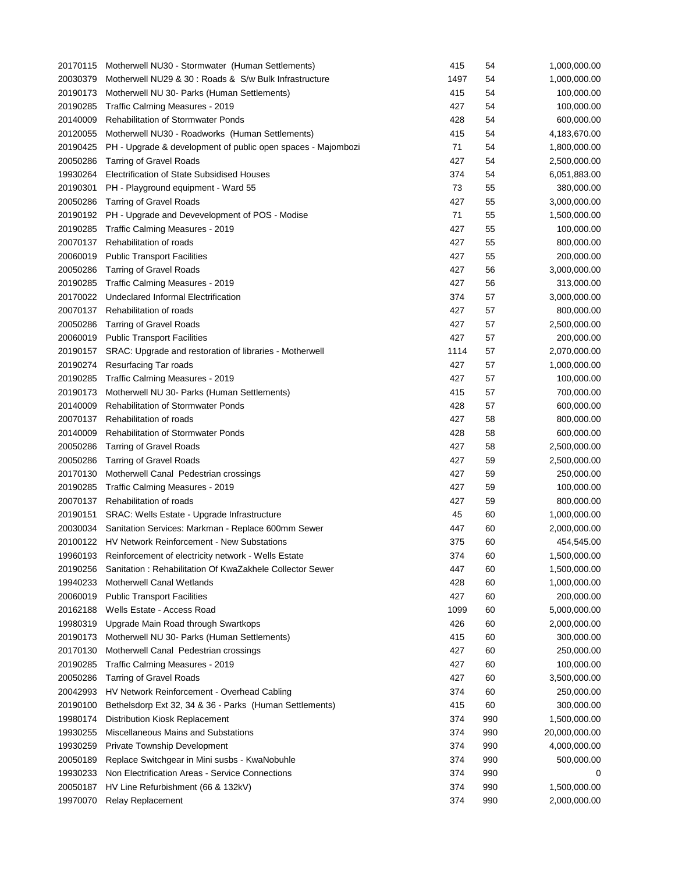| 20170115 | Motherwell NU30 - Stormwater (Human Settlements)             | 415        | 54  | 1,000,000.00               |
|----------|--------------------------------------------------------------|------------|-----|----------------------------|
| 20030379 | Motherwell NU29 & 30 : Roads & S/w Bulk Infrastructure       | 1497       | 54  | 1,000,000.00               |
| 20190173 | Motherwell NU 30- Parks (Human Settlements)                  | 415        | 54  | 100,000.00                 |
| 20190285 | Traffic Calming Measures - 2019                              | 427        | 54  | 100,000.00                 |
| 20140009 | <b>Rehabilitation of Stormwater Ponds</b>                    | 428        | 54  | 600,000.00                 |
| 20120055 | Motherwell NU30 - Roadworks (Human Settlements)              | 415        | 54  | 4,183,670.00               |
| 20190425 | PH - Upgrade & development of public open spaces - Majombozi | 71         | 54  | 1,800,000.00               |
| 20050286 | <b>Tarring of Gravel Roads</b>                               | 427        | 54  | 2,500,000.00               |
| 19930264 | Electrification of State Subsidised Houses                   | 374        | 54  | 6,051,883.00               |
| 20190301 | PH - Playground equipment - Ward 55                          | 73         | 55  | 380,000.00                 |
| 20050286 | <b>Tarring of Gravel Roads</b>                               | 427        | 55  | 3,000,000.00               |
| 20190192 | PH - Upgrade and Devevelopment of POS - Modise               | 71         | 55  | 1,500,000.00               |
| 20190285 | Traffic Calming Measures - 2019                              | 427        | 55  | 100,000.00                 |
| 20070137 | Rehabilitation of roads                                      | 427        | 55  | 800,000.00                 |
| 20060019 | <b>Public Transport Facilities</b>                           | 427        | 55  | 200,000.00                 |
| 20050286 | <b>Tarring of Gravel Roads</b>                               | 427        | 56  | 3,000,000.00               |
| 20190285 | Traffic Calming Measures - 2019                              | 427        | 56  | 313,000.00                 |
| 20170022 | Undeclared Informal Electrification                          | 374        | 57  | 3,000,000.00               |
| 20070137 | Rehabilitation of roads                                      | 427        | 57  | 800,000.00                 |
| 20050286 | <b>Tarring of Gravel Roads</b>                               | 427        | 57  | 2,500,000.00               |
| 20060019 | <b>Public Transport Facilities</b>                           | 427        | 57  | 200,000.00                 |
| 20190157 | SRAC: Upgrade and restoration of libraries - Motherwell      | 1114       | 57  | 2,070,000.00               |
| 20190274 | Resurfacing Tar roads                                        | 427        | 57  | 1,000,000.00               |
| 20190285 | Traffic Calming Measures - 2019                              | 427        | 57  | 100,000.00                 |
| 20190173 | Motherwell NU 30- Parks (Human Settlements)                  | 415        | 57  | 700,000.00                 |
| 20140009 | <b>Rehabilitation of Stormwater Ponds</b>                    | 428        | 57  | 600,000.00                 |
| 20070137 | Rehabilitation of roads                                      | 427        | 58  | 800,000.00                 |
| 20140009 | Rehabilitation of Stormwater Ponds                           | 428        | 58  |                            |
| 20050286 | <b>Tarring of Gravel Roads</b>                               | 427        | 58  | 600,000.00<br>2,500,000.00 |
| 20050286 | <b>Tarring of Gravel Roads</b>                               | 427        | 59  | 2,500,000.00               |
| 20170130 | Motherwell Canal Pedestrian crossings                        | 427        | 59  | 250,000.00                 |
| 20190285 | Traffic Calming Measures - 2019                              | 427        | 59  | 100,000.00                 |
| 20070137 |                                                              | 427        | 59  |                            |
|          | Rehabilitation of roads                                      |            |     | 800,000.00                 |
| 20190151 | SRAC: Wells Estate - Upgrade Infrastructure                  | 45         | 60  | 1,000,000.00               |
| 20030034 | Sanitation Services: Markman - Replace 600mm Sewer           | 447        | 60  | 2,000,000.00               |
|          | 20100122 HV Network Reinforcement - New Substations          | 375<br>374 | 60  | 454,545.00                 |
| 19960193 | Reinforcement of electricity network - Wells Estate          |            | 60  | 1,500,000.00               |
| 20190256 | Sanitation: Rehabilitation Of KwaZakhele Collector Sewer     | 447        | 60  | 1,500,000.00               |
| 19940233 | Motherwell Canal Wetlands                                    | 428        | 60  | 1,000,000.00               |
| 20060019 | <b>Public Transport Facilities</b>                           | 427        | 60  | 200,000.00                 |
| 20162188 | Wells Estate - Access Road                                   | 1099       | 60  | 5,000,000.00               |
| 19980319 | Upgrade Main Road through Swartkops                          | 426        | 60  | 2,000,000.00               |
| 20190173 | Motherwell NU 30- Parks (Human Settlements)                  | 415        | 60  | 300,000.00                 |
| 20170130 | Motherwell Canal Pedestrian crossings                        | 427        | 60  | 250,000.00                 |
| 20190285 | Traffic Calming Measures - 2019                              | 427        | 60  | 100,000.00                 |
| 20050286 | <b>Tarring of Gravel Roads</b>                               | 427        | 60  | 3,500,000.00               |
| 20042993 | HV Network Reinforcement - Overhead Cabling                  | 374        | 60  | 250,000.00                 |
| 20190100 | Bethelsdorp Ext 32, 34 & 36 - Parks (Human Settlements)      | 415        | 60  | 300,000.00                 |
| 19980174 | Distribution Kiosk Replacement                               | 374        | 990 | 1,500,000.00               |
| 19930255 | Miscellaneous Mains and Substations                          | 374        | 990 | 20,000,000.00              |
| 19930259 | Private Township Development                                 | 374        | 990 | 4,000,000.00               |
| 20050189 | Replace Switchgear in Mini susbs - KwaNobuhle                | 374        | 990 | 500,000.00                 |
| 19930233 | Non Electrification Areas - Service Connections              | 374        | 990 | 0                          |
| 20050187 | HV Line Refurbishment (66 & 132kV)                           | 374        | 990 | 1,500,000.00               |
| 19970070 | <b>Relay Replacement</b>                                     | 374        | 990 | 2,000,000.00               |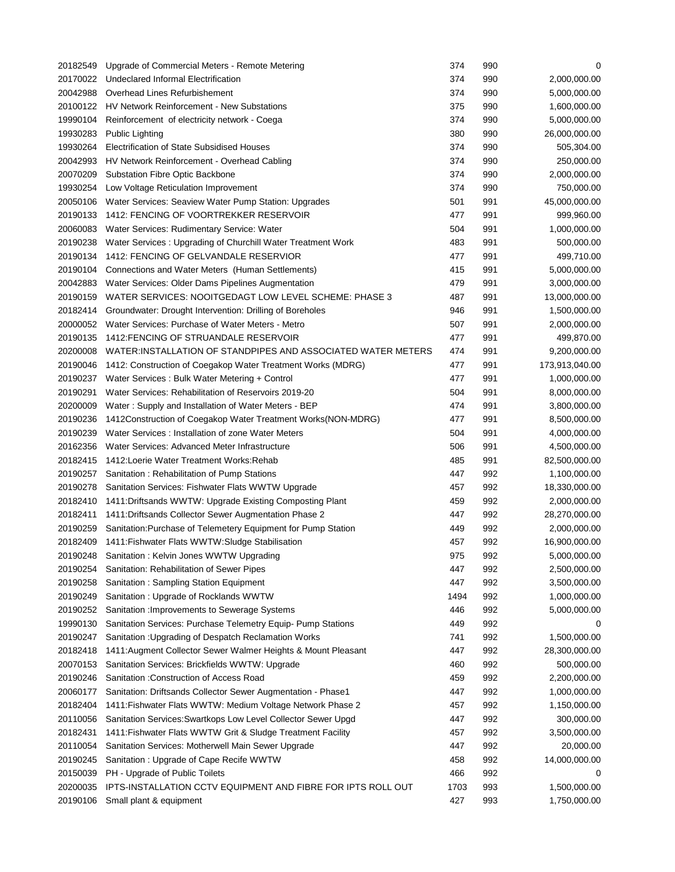| 20182549             | Upgrade of Commercial Meters - Remote Metering                                  | 374  | 990 | 0                            |
|----------------------|---------------------------------------------------------------------------------|------|-----|------------------------------|
| 20170022             | Undeclared Informal Electrification                                             | 374  | 990 | 2,000,000.00                 |
| 20042988             | Overhead Lines Refurbishement                                                   | 374  | 990 | 5,000,000.00                 |
| 20100122             | HV Network Reinforcement - New Substations                                      | 375  | 990 | 1,600,000.00                 |
| 19990104             | Reinforcement of electricity network - Coega                                    | 374  | 990 | 5,000,000.00                 |
| 19930283             | <b>Public Lighting</b>                                                          | 380  | 990 | 26,000,000.00                |
| 19930264             | Electrification of State Subsidised Houses                                      | 374  | 990 | 505,304.00                   |
| 20042993             | HV Network Reinforcement - Overhead Cabling                                     | 374  | 990 | 250,000.00                   |
| 20070209             | Substation Fibre Optic Backbone                                                 | 374  | 990 | 2,000,000.00                 |
| 19930254             | Low Voltage Reticulation Improvement                                            | 374  | 990 | 750,000.00                   |
| 20050106             | Water Services: Seaview Water Pump Station: Upgrades                            | 501  | 991 | 45,000,000.00                |
| 20190133             | 1412: FENCING OF VOORTREKKER RESERVOIR                                          | 477  | 991 | 999,960.00                   |
| 20060083             | Water Services: Rudimentary Service: Water                                      | 504  | 991 | 1,000,000.00                 |
| 20190238             | Water Services: Upgrading of Churchill Water Treatment Work                     | 483  | 991 | 500,000.00                   |
| 20190134             | 1412: FENCING OF GELVANDALE RESERVIOR                                           | 477  | 991 | 499,710.00                   |
|                      | 20190104 Connections and Water Meters (Human Settlements)                       | 415  | 991 | 5,000,000.00                 |
| 20042883             | Water Services: Older Dams Pipelines Augmentation                               | 479  | 991 | 3,000,000.00                 |
| 20190159             | WATER SERVICES: NOOITGEDAGT LOW LEVEL SCHEME: PHASE 3                           | 487  | 991 | 13,000,000.00                |
|                      | 20182414 Groundwater: Drought Intervention: Drilling of Boreholes               | 946  | 991 | 1,500,000.00                 |
|                      | 20000052 Water Services: Purchase of Water Meters - Metro                       | 507  | 991 | 2,000,000.00                 |
| 20190135             | 1412: FENCING OF STRUANDALE RESERVOIR                                           | 477  | 991 | 499,870.00                   |
| 20200008             | WATER:INSTALLATION OF STANDPIPES AND ASSOCIATED WATER METERS                    | 474  | 991 | 9,200,000.00                 |
| 20190046             | 1412: Construction of Coegakop Water Treatment Works (MDRG)                     | 477  | 991 | 173,913,040.00               |
| 20190237             | Water Services: Bulk Water Metering + Control                                   | 477  | 991 | 1,000,000.00                 |
| 20190291             | Water Services: Rehabilitation of Reservoirs 2019-20                            | 504  | 991 | 8,000,000.00                 |
| 20200009             | Water: Supply and Installation of Water Meters - BEP                            | 474  | 991 | 3,800,000.00                 |
| 20190236             | 1412 Construction of Coegakop Water Treatment Works (NON-MDRG)                  | 477  | 991 | 8,500,000.00                 |
| 20190239             | Water Services: Installation of zone Water Meters                               | 504  | 991 | 4,000,000.00                 |
| 20162356             | Water Services: Advanced Meter Infrastructure                                   | 506  | 991 | 4,500,000.00                 |
| 20182415             | 1412: Loerie Water Treatment Works: Rehab                                       | 485  | 991 | 82,500,000.00                |
| 20190257             | Sanitation: Rehabilitation of Pump Stations                                     | 447  | 992 | 1,100,000.00                 |
| 20190278             | Sanitation Services: Fishwater Flats WWTW Upgrade                               | 457  | 992 | 18,330,000.00                |
| 20182410             | 1411: Driftsands WWTW: Upgrade Existing Composting Plant                        | 459  | 992 | 2,000,000.00                 |
| 20182411             | 1411: Driftsands Collector Sewer Augmentation Phase 2                           | 447  | 992 | 28,270,000.00                |
| 20190259             | Sanitation: Purchase of Telemetery Equipment for Pump Station                   | 449  | 992 | 2,000,000.00                 |
|                      | 20182409 1411: Fishwater Flats WWTW: Sludge Stabilisation                       | 457  | 992 | 16,900,000.00                |
| 20190248             | Sanitation: Kelvin Jones WWTW Upgrading                                         | 975  | 992 | 5,000,000.00                 |
|                      |                                                                                 | 447  | 992 |                              |
| 20190254             | Sanitation: Rehabilitation of Sewer Pipes                                       |      | 992 | 2,500,000.00                 |
| 20190258             | Sanitation: Sampling Station Equipment<br>Sanitation: Upgrade of Rocklands WWTW | 447  |     | 3,500,000.00                 |
| 20190249<br>20190252 |                                                                                 | 1494 | 992 | 1,000,000.00<br>5,000,000.00 |
|                      | Sanitation : Improvements to Sewerage Systems                                   | 446  | 992 |                              |
| 19990130             | Sanitation Services: Purchase Telemetry Equip- Pump Stations                    | 449  | 992 | 0                            |
| 20190247             | Sanitation: Upgrading of Despatch Reclamation Works                             | 741  | 992 | 1,500,000.00                 |
| 20182418             | 1411: Augment Collector Sewer Walmer Heights & Mount Pleasant                   | 447  | 992 | 28,300,000.00                |
| 20070153             | Sanitation Services: Brickfields WWTW: Upgrade                                  | 460  | 992 | 500,000.00                   |
| 20190246             | Sanitation : Construction of Access Road                                        | 459  | 992 | 2,200,000.00                 |
| 20060177             | Sanitation: Driftsands Collector Sewer Augmentation - Phase1                    | 447  | 992 | 1,000,000.00                 |
| 20182404             | 1411: Fishwater Flats WWTW: Medium Voltage Network Phase 2                      | 457  | 992 | 1,150,000.00                 |
| 20110056             | Sanitation Services: Swartkops Low Level Collector Sewer Upgd                   | 447  | 992 | 300,000.00                   |
| 20182431             | 1411: Fishwater Flats WWTW Grit & Sludge Treatment Facility                     | 457  | 992 | 3,500,000.00                 |
| 20110054             | Sanitation Services: Motherwell Main Sewer Upgrade                              | 447  | 992 | 20,000.00                    |
| 20190245             | Sanitation: Upgrade of Cape Recife WWTW                                         | 458  | 992 | 14,000,000.00                |
| 20150039             | PH - Upgrade of Public Toilets                                                  | 466  | 992 | 0                            |
| 20200035             | IPTS-INSTALLATION CCTV EQUIPMENT AND FIBRE FOR IPTS ROLL OUT                    | 1703 | 993 | 1,500,000.00                 |
| 20190106             | Small plant & equipment                                                         | 427  | 993 | 1,750,000.00                 |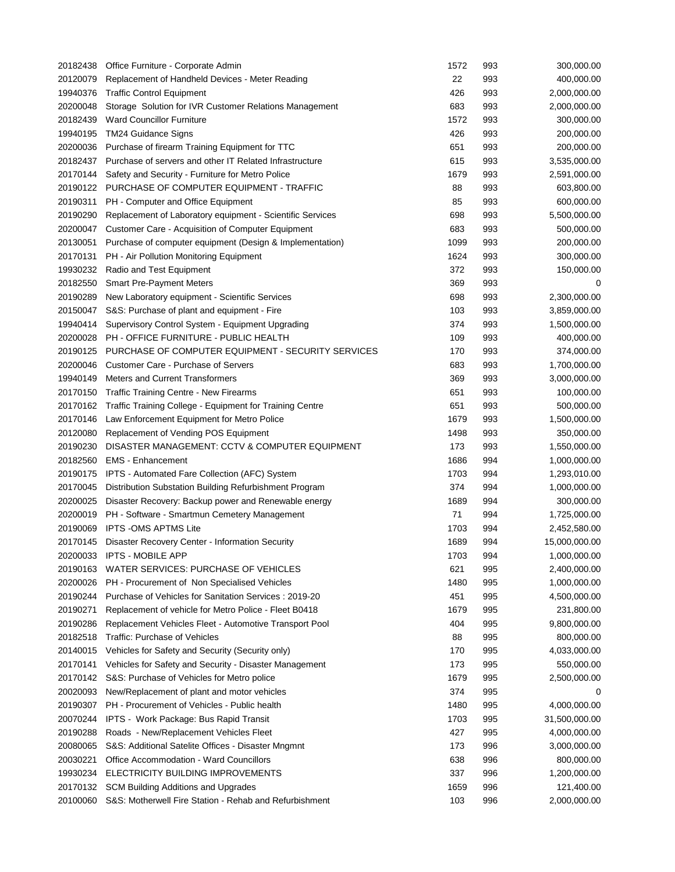| 20182438 | Office Furniture - Corporate Admin                        | 1572        | 993        | 300,000.00    |
|----------|-----------------------------------------------------------|-------------|------------|---------------|
| 20120079 | Replacement of Handheld Devices - Meter Reading           | 22          | 993        | 400,000.00    |
| 19940376 | <b>Traffic Control Equipment</b>                          | 426         | 993        | 2,000,000.00  |
| 20200048 | Storage Solution for IVR Customer Relations Management    | 683         | 993        | 2,000,000.00  |
| 20182439 | <b>Ward Councillor Furniture</b>                          | 1572        | 993        | 300,000.00    |
| 19940195 | <b>TM24 Guidance Signs</b>                                | 426         | 993        | 200,000.00    |
| 20200036 | Purchase of firearm Training Equipment for TTC            | 651         | 993        | 200,000.00    |
| 20182437 | Purchase of servers and other IT Related Infrastructure   | 615         | 993        | 3,535,000.00  |
| 20170144 | Safety and Security - Furniture for Metro Police          | 1679        | 993        | 2,591,000.00  |
| 20190122 | PURCHASE OF COMPUTER EQUIPMENT - TRAFFIC                  | 88          | 993        | 603,800.00    |
| 20190311 | PH - Computer and Office Equipment                        | 85          | 993        | 600,000.00    |
| 20190290 | Replacement of Laboratory equipment - Scientific Services | 698         | 993        | 5,500,000.00  |
| 20200047 | Customer Care - Acquisition of Computer Equipment         | 683         | 993        | 500,000.00    |
| 20130051 | Purchase of computer equipment (Design & Implementation)  | 1099        | 993        | 200,000.00    |
| 20170131 | PH - Air Pollution Monitoring Equipment                   | 1624        | 993        | 300,000.00    |
| 19930232 | Radio and Test Equipment                                  | 372         | 993        | 150,000.00    |
| 20182550 | <b>Smart Pre-Payment Meters</b>                           | 369         | 993        | 0             |
| 20190289 | New Laboratory equipment - Scientific Services            | 698         | 993        | 2,300,000.00  |
| 20150047 | S&S: Purchase of plant and equipment - Fire               | 103         | 993        | 3,859,000.00  |
| 19940414 | Supervisory Control System - Equipment Upgrading          | 374         | 993        | 1,500,000.00  |
| 20200028 | PH - OFFICE FURNITURE - PUBLIC HEALTH                     | 109         | 993        | 400,000.00    |
| 20190125 | PURCHASE OF COMPUTER EQUIPMENT - SECURITY SERVICES        | 170         | 993        | 374,000.00    |
| 20200046 | Customer Care - Purchase of Servers                       | 683         | 993        | 1,700,000.00  |
| 19940149 | Meters and Current Transformers                           | 369         | 993        | 3,000,000.00  |
| 20170150 | Traffic Training Centre - New Firearms                    | 651         | 993        | 100,000.00    |
| 20170162 | Traffic Training College - Equipment for Training Centre  | 651         | 993        | 500,000.00    |
| 20170146 | Law Enforcement Equipment for Metro Police                | 1679        | 993        | 1,500,000.00  |
| 20120080 | Replacement of Vending POS Equipment                      | 1498        | 993        | 350,000.00    |
| 20190230 | DISASTER MANAGEMENT: CCTV & COMPUTER EQUIPMENT            | 173         | 993        | 1,550,000.00  |
| 20182560 | <b>EMS</b> - Enhancement                                  | 1686        | 994        | 1,000,000.00  |
| 20190175 | IPTS - Automated Fare Collection (AFC) System             | 1703        | 994        | 1,293,010.00  |
| 20170045 | Distribution Substation Building Refurbishment Program    | 374         | 994        | 1,000,000.00  |
| 20200025 | Disaster Recovery: Backup power and Renewable energy      | 1689        | 994        | 300,000.00    |
| 20200019 | PH - Software - Smartmun Cemetery Management              | 71          | 994        | 1,725,000.00  |
| 20190069 | <b>IPTS - OMS APTMS Lite</b>                              | 1703        | 994        | 2,452,580.00  |
|          | 20170145 Disaster Recovery Center - Information Security  | 1689        | 994        | 15,000,000.00 |
| 20200033 | IPTS - MOBILE APP                                         |             |            | 1,000,000.00  |
| 20190163 | WATER SERVICES: PURCHASE OF VEHICLES                      | 1703<br>621 | 994<br>995 | 2,400,000.00  |
| 20200026 | PH - Procurement of Non Specialised Vehicles              | 1480        | 995        | 1,000,000.00  |
| 20190244 | Purchase of Vehicles for Sanitation Services : 2019-20    | 451         | 995        | 4,500,000.00  |
| 20190271 | Replacement of vehicle for Metro Police - Fleet B0418     | 1679        | 995        | 231,800.00    |
| 20190286 | Replacement Vehicles Fleet - Automotive Transport Pool    | 404         | 995        | 9,800,000.00  |
| 20182518 | <b>Traffic: Purchase of Vehicles</b>                      |             | 995        |               |
|          |                                                           | 88          |            | 800,000.00    |
| 20140015 | Vehicles for Safety and Security (Security only)          | 170         | 995        | 4,033,000.00  |
| 20170141 | Vehicles for Safety and Security - Disaster Management    | 173         | 995        | 550,000.00    |
| 20170142 | S&S: Purchase of Vehicles for Metro police                | 1679        | 995        | 2,500,000.00  |
| 20020093 | New/Replacement of plant and motor vehicles               | 374         | 995        | 0             |
| 20190307 | PH - Procurement of Vehicles - Public health              | 1480        | 995        | 4,000,000.00  |
| 20070244 | IPTS - Work Package: Bus Rapid Transit                    | 1703        | 995        | 31,500,000.00 |
| 20190288 | Roads - New/Replacement Vehicles Fleet                    | 427         | 995        | 4,000,000.00  |
| 20080065 | S&S: Additional Satelite Offices - Disaster Mngmnt        | 173         | 996        | 3,000,000.00  |
| 20030221 | <b>Office Accommodation - Ward Councillors</b>            | 638         | 996        | 800,000.00    |
| 19930234 | ELECTRICITY BUILDING IMPROVEMENTS                         | 337         | 996        | 1,200,000.00  |
| 20170132 | SCM Building Additions and Upgrades                       | 1659        | 996        | 121,400.00    |
| 20100060 | S&S: Motherwell Fire Station - Rehab and Refurbishment    | 103         | 996        | 2,000,000.00  |